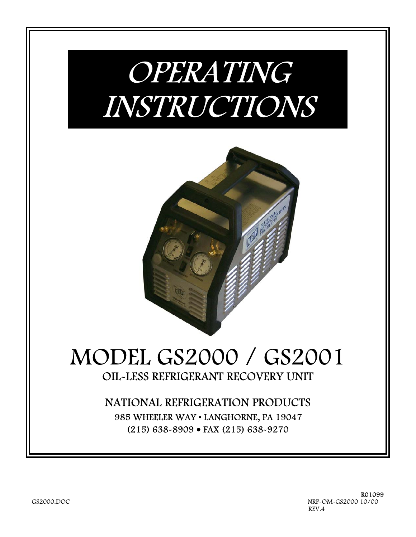# OPERATING INSTRUCTIONS



# MODEL GS2000 / GS2001 OIL-LESS REFRIGERANT RECOVERY UNIT

# NATIONAL REFRIGERATION PRODUCTS 985 WHEELER WAY • LANGHORNE, PA 19047 (215) 638-8909 • FAX (215) 638-9270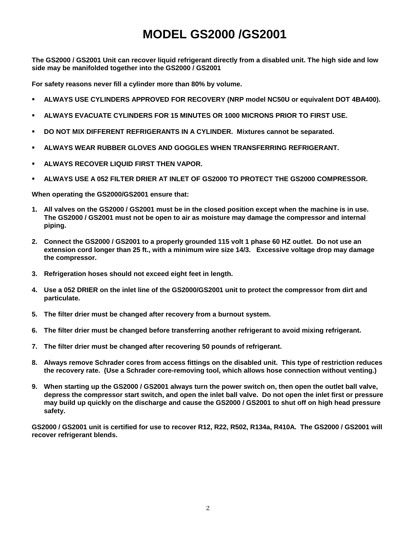# **MODEL GS2000 /GS2001**

**The GS2000 / GS2001 Unit can recover liquid refrigerant directly from a disabled unit. The high side and low side may be manifolded together into the GS2000 / GS2001**

**For safety reasons never fill a cylinder more than 80% by volume.**

- **ALWAYS USE CYLINDERS APPROVED FOR RECOVERY (NRP model NC50U or equivalent DOT 4BA400).**
- **ALWAYS EVACUATE CYLINDERS FOR 15 MINUTES OR 1000 MICRONS PRIOR TO FIRST USE.**
- **DO NOT MIX DIFFERENT REFRIGERANTS IN A CYLINDER. Mixtures cannot be separated.**
- **ALWAYS WEAR RUBBER GLOVES AND GOGGLES WHEN TRANSFERRING REFRIGERANT.**
- **ALWAYS RECOVER LIQUID FIRST THEN VAPOR.**
- **ALWAYS USE A 052 FILTER DRIER AT INLET OF GS2000 TO PROTECT THE GS2000 COMPRESSOR.**

**When operating the GS2000/GS2001 ensure that:**

- **1. All valves on the GS2000 / GS2001 must be in the closed position except when the machine is in use. The GS2000 / GS2001 must not be open to air as moisture may damage the compressor and internal piping.**
- **2. Connect the GS2000 / GS2001 to a properly grounded 115 volt 1 phase 60 HZ outlet. Do not use an extension cord longer than 25 ft., with a minimum wire size 14/3. Excessive voltage drop may damage the compressor.**
- **3. Refrigeration hoses should not exceed eight feet in length.**
- **4. Use a 052 DRIER on the inlet line of the GS2000/GS2001 unit to protect the compressor from dirt and particulate.**
- **5. The filter drier must be changed after recovery from a burnout system.**
- **6. The filter drier must be changed before transferring another refrigerant to avoid mixing refrigerant.**
- **7. The filter drier must be changed after recovering 50 pounds of refrigerant.**
- **8. Always remove Schrader cores from access fittings on the disabled unit. This type of restriction reduces the recovery rate. (Use a Schrader core-removing tool, which allows hose connection without venting.)**
- **9. When starting up the GS2000 / GS2001 always turn the power switch on, then open the outlet ball valve, depress the compressor start switch, and open the inlet ball valve. Do not open the inlet first or pressure may build up quickly on the discharge and cause the GS2000 / GS2001 to shut off on high head pressure safety.**

**GS2000 / GS2001 unit is certified for use to recover R12, R22, R502, R134a, R410A. The GS2000 / GS2001 will recover refrigerant blends.**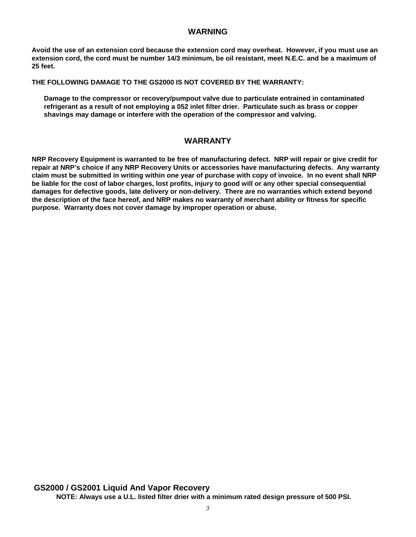#### **WARNING**

**Avoid the use of an extension cord because the extension cord may overheat. However, if you must use an extension cord, the cord must be number 14/3 minimum, be oil resistant, meet N.E.C. and be a maximum of 25 feet.**

**THE FOLLOWING DAMAGE TO THE GS2000 IS NOT COVERED BY THE WARRANTY:**

 **Damage to the compressor or recovery/pumpout valve due to particulate entrained in contaminated refrigerant as a result of not employing a 052 inlet filter drier. Particulate such as brass or copper shavings may damage or interfere with the operation of the compressor and valving.**

#### **WARRANTY**

**NRP Recovery Equipment is warranted to be free of manufacturing defect. NRP will repair or give credit for repair at NRP's choice if any NRP Recovery Units or accessories have manufacturing defects. Any warranty claim must be submitted in writing within one year of purchase with copy of invoice. In no event shall NRP be liable for the cost of labor charges, lost profits, injury to good will or any other special consequential damages for defective goods, late delivery or non-delivery. There are no warranties which extend beyond the description of the face hereof, and NRP makes no warranty of merchant ability or fitness for specific purpose. Warranty does not cover damage by improper operation or abuse.**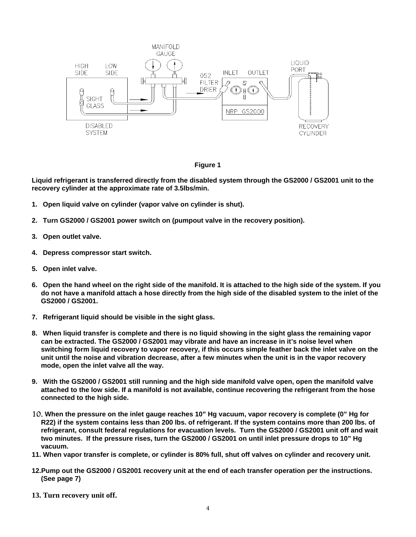



**Liquid refrigerant is transferred directly from the disabled system through the GS2000 / GS2001 unit to the recovery cylinder at the approximate rate of 3.5lbs/min.**

- **1. Open liquid valve on cylinder (vapor valve on cylinder is shut).**
- **2. Turn GS2000 / GS2001 power switch on (pumpout valve in the recovery position).**
- **3. Open outlet valve.**
- **4. Depress compressor start switch.**
- **5. Open inlet valve.**
- **6. Open the hand wheel on the right side of the manifold. It is attached to the high side of the system. If you do not have a manifold attach a hose directly from the high side of the disabled system to the inlet of the GS2000 / GS2001.**
- **7. Refrigerant liquid should be visible in the sight glass.**
- **8. When liquid transfer is complete and there is no liquid showing in the sight glass the remaining vapor can be extracted. The GS2000 / GS2001 may vibrate and have an increase in it's noise level when switching form liquid recovery to vapor recovery, if this occurs simple feather back the inlet valve on the unit until the noise and vibration decrease, after a few minutes when the unit is in the vapor recovery mode, open the inlet valve all the way.**
- **9. With the GS2000 / GS2001 still running and the high side manifold valve open, open the manifold valve attached to the low side. If a manifold is not available, continue recovering the refrigerant from the hose connected to the high side.**
- 10. **When the pressure on the inlet gauge reaches 10" Hg vacuum, vapor recovery is complete (0" Hg for R22) if the system contains less than 200 lbs. of refrigerant. If the system contains more than 200 lbs. of refrigerant, consult federal regulations for evacuation levels. Turn the GS2000 / GS2001 unit off and wait two minutes. If the pressure rises, turn the GS2000 / GS2001 on until inlet pressure drops to 10" Hg vacuum.**
- **11.When vapor transfer is complete, or cylinder is 80% full, shut off valves on cylinder and recovery unit.**
- **12. Pump out the GS2000 / GS2001 recovery unit at the end of each transfer operation per the instructions. (See page 7)**
- **13. Turn recovery unit off.**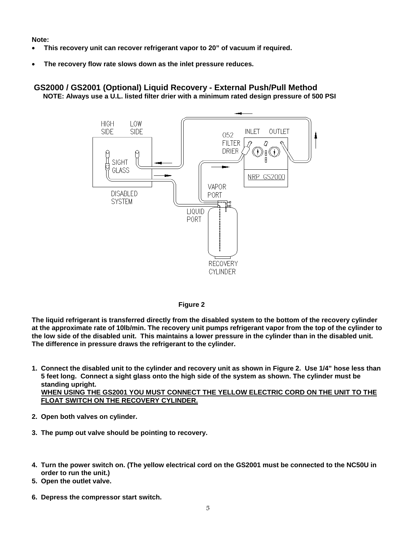**Note:**

- **This recovery unit can recover refrigerant vapor to 20" of vacuum if required.**
- **The recovery flow rate slows down as the inlet pressure reduces.**

#### **GS2000 / GS2001 (Optional) Liquid Recovery - External Push/Pull Method NOTE: Always use a U.L. listed filter drier with a minimum rated design pressure of 500 PSI**





**The liquid refrigerant is transferred directly from the disabled system to the bottom of the recovery cylinder at the approximate rate of 10lb/min. The recovery unit pumps refrigerant vapor from the top of the cylinder to the low side of the disabled unit. This maintains a lower pressure in the cylinder than in the disabled unit. The difference in pressure draws the refrigerant to the cylinder.**

- **1. Connect the disabled unit to the cylinder and recovery unit as shown in Figure 2. Use 1/4" hose less than 5 feet long. Connect a sight glass onto the high side of the system as shown. The cylinder must be standing upright. WHEN USING THE GS2001 YOU MUST CONNECT THE YELLOW ELECTRIC CORD ON THE UNIT TO THE FLOAT SWITCH ON THE RECOVERY CYLINDER.**
- **2. Open both valves on cylinder.**
- **3. The pump out valve should be pointing to recovery.**
- **4. Turn the power switch on. (The yellow electrical cord on the GS2001 must be connected to the NC50U in order to run the unit.)**
- **5. Open the outlet valve.**
- **6. Depress the compressor start switch.**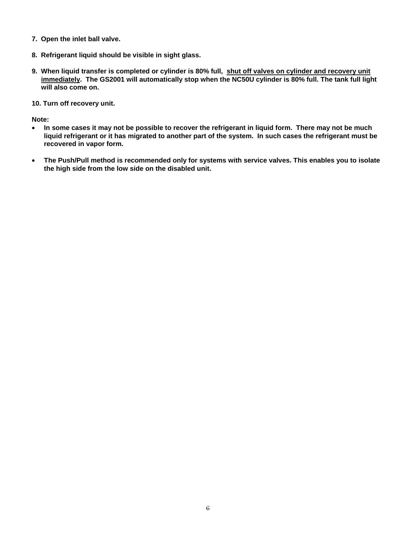- **7. Open the inlet ball valve.**
- **8. Refrigerant liquid should be visible in sight glass.**
- **9. When liquid transfer is completed or cylinder is 80% full, shut off valves on cylinder and recovery unit immediately. The GS2001 will automatically stop when the NC50U cylinder is 80% full. The tank full light will also come on.**
- **10.Turn off recovery unit.**

**Note:**

- **In some cases it may not be possible to recover the refrigerant in liquid form. There may not be much liquid refrigerant or it has migrated to another part of the system. In such cases the refrigerant must be recovered in vapor form.**
- **The Push/Pull method is recommended only for systems with service valves. This enables you to isolate the high side from the low side on the disabled unit.**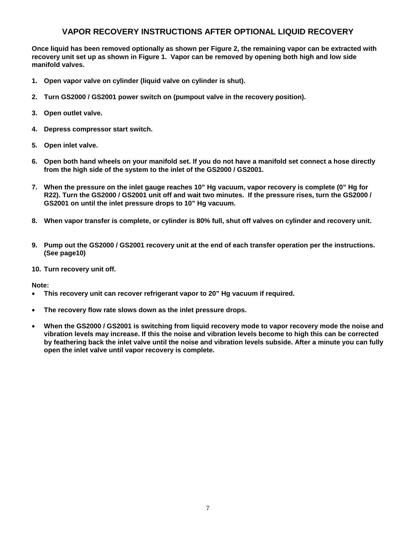#### **VAPOR RECOVERY INSTRUCTIONS AFTER OPTIONAL LIQUID RECOVERY**

**Once liquid has been removed optionally as shown per Figure 2, the remaining vapor can be extracted with recovery unit set up as shown in Figure 1. Vapor can be removed by opening both high and low side manifold valves.**

- **1. Open vapor valve on cylinder (liquid valve on cylinder is shut).**
- **2. Turn GS2000 / GS2001 power switch on (pumpout valve in the recovery position).**
- **3. Open outlet valve.**
- **4. Depress compressor start switch.**
- **5. Open inlet valve.**
- **6. Open both hand wheels on your manifold set. If you do not have a manifold set connect a hose directly from the high side of the system to the inlet of the GS2000 / GS2001.**
- **7. When the pressure on the inlet gauge reaches 10" Hg vacuum, vapor recovery is complete (0" Hg for R22). Turn the GS2000 / GS2001 unit off and wait two minutes. If the pressure rises, turn the GS2000 / GS2001 on until the inlet pressure drops to 10" Hg vacuum.**
- **8. When vapor transfer is complete, or cylinder is 80% full, shut off valves on cylinder and recovery unit.**
- **9. Pump out the GS2000 / GS2001 recovery unit at the end of each transfer operation per the instructions. (See page10)**
- **10. Turn recovery unit off.**

**Note:**

- **This recovery unit can recover refrigerant vapor to 20" Hg vacuum if required.**
- **The recovery flow rate slows down as the inlet pressure drops.**
- **When the GS2000 / GS2001 is switching from liquid recovery mode to vapor recovery mode the noise and vibration levels may increase. If this the noise and vibration levels become to high this can be corrected by feathering back the inlet valve until the noise and vibration levels subside. After a minute you can fully open the inlet valve until vapor recovery is complete.**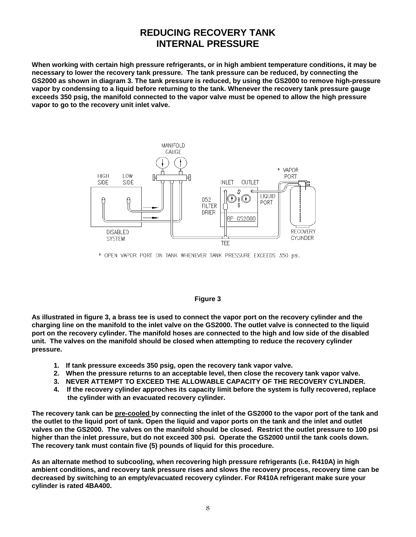### **REDUCING RECOVERY TANK INTERNAL PRESSURE**

**When working with certain high pressure refrigerants, or in high ambient temperature conditions, it may be necessary to lower the recovery tank pressure. The tank pressure can be reduced, by connecting the GS2000 as shown in diagram 3. The tank pressure is reduced, by using the GS2000 to remove high-pressure vapor by condensing to a liquid before returning to the tank. Whenever the recovery tank pressure gauge exceeds 350 psig, the manifold connected to the vapor valve must be opened to allow the high pressure vapor to go to the recovery unit inlet valve.**



\* OPEN VAPOR PORT ON TANK WHENEVER TANK PRESSURE EXCEEDS 350 psi.

#### **Figure 3**

**As illustrated in figure 3, a brass tee is used to connect the vapor port on the recovery cylinder and the charging line on the manifold to the inlet valve on the GS2000. The outlet valve is connected to the liquid port on the recovery cylinder. The manifold hoses are connected to the high and low side of the disabled unit. The valves on the manifold should be closed when attempting to reduce the recovery cylinder pressure.**

- **1. If tank pressure exceeds 350 psig, open the recovery tank vapor valve.**
- **2. When the pressure returns to an acceptable level, then close the recovery tank vapor valve.**
- **3. NEVER ATTEMPT TO EXCEED THE ALLOWABLE CAPACITY OF THE RECOVERY CYLINDER.**
- **4. If the recovery cylinder approches its capacity limit before the system is fully recovered, replace the cylinder with an evacuated recovery cylinder.**

**The recovery tank can be pre-cooled by connecting the inlet of the GS2000 to the vapor port of the tank and the outlet to the liquid port of tank. Open the liquid and vapor ports on the tank and the inlet and outlet valves on the GS2000. The valves on the manifold should be closed. Restrict the outlet pressure to 100 psi higher than the inlet pressure, but do not exceed 300 psi. Operate the GS2000 until the tank cools down. The recovery tank must contain five (5) pounds of liquid for this procedure.**

**As an alternate method to subcooling, when recovering high pressure refrigerants (i.e. R410A) in high ambient conditions, and recovery tank pressure rises and slows the recovery process, recovery time can be decreased by switching to an empty/evacuated recovery cylinder. For R410A refrigerant make sure your cylinder is rated 4BA400.**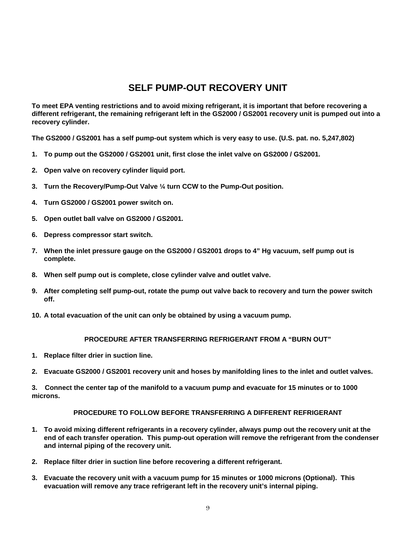## **SELF PUMP-OUT RECOVERY UNIT**

**To meet EPA venting restrictions and to avoid mixing refrigerant, it is important that before recovering a different refrigerant, the remaining refrigerant left in the GS2000 / GS2001 recovery unit is pumped out into a recovery cylinder.**

**The GS2000 / GS2001 has a self pump-out system which is very easy to use. (U.S. pat. no. 5,247,802)**

- **1. To pump out the GS2000 / GS2001 unit, first close the inlet valve on GS2000 / GS2001.**
- **2. Open valve on recovery cylinder liquid port.**
- **3. Turn the Recovery/Pump-Out Valve ¼ turn CCW to the Pump-Out position.**
- **4. Turn GS2000 / GS2001 power switch on.**
- **5. Open outlet ball valve on GS2000 / GS2001.**
- **6. Depress compressor start switch.**
- **7. When the inlet pressure gauge on the GS2000 / GS2001 drops to 4" Hg vacuum, self pump out is complete.**
- **8. When self pump out is complete, close cylinder valve and outlet valve.**
- **9. After completing self pump-out, rotate the pump out valve back to recovery and turn the power switch off.**
- **10. A total evacuation of the unit can only be obtained by using a vacuum pump.**

#### **PROCEDURE AFTER TRANSFERRING REFRIGERANT FROM A "BURN OUT"**

- **1. Replace filter drier in suction line.**
- **2. Evacuate GS2000 / GS2001 recovery unit and hoses by manifolding lines to the inlet and outlet valves.**

**3. Connect the center tap of the manifold to a vacuum pump and evacuate for 15 minutes or to 1000 microns.**

#### **PROCEDURE TO FOLLOW BEFORE TRANSFERRING A DIFFERENT REFRIGERANT**

- **1. To avoid mixing different refrigerants in a recovery cylinder, always pump out the recovery unit at the end of each transfer operation. This pump-out operation will remove the refrigerant from the condenser and internal piping of the recovery unit.**
- **2. Replace filter drier in suction line before recovering a different refrigerant.**
- **3. Evacuate the recovery unit with a vacuum pump for 15 minutes or 1000 microns (Optional). This evacuation will remove any trace refrigerant left in the recovery unit's internal piping.**